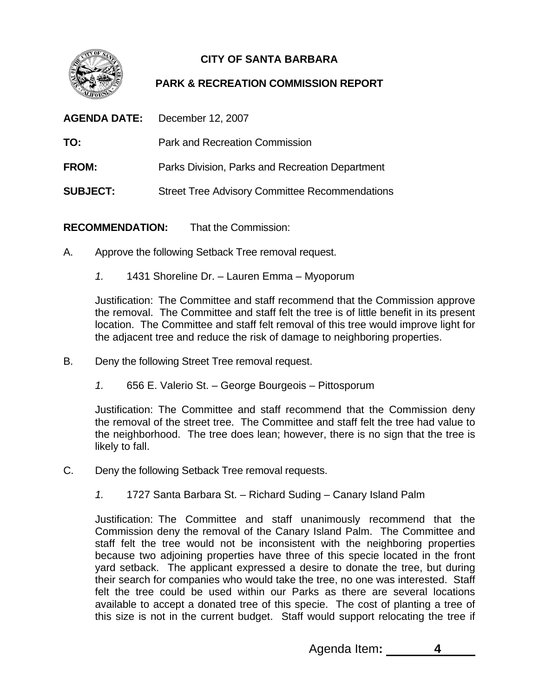

## **CITY OF SANTA BARBARA**

## **PARK & RECREATION COMMISSION REPORT**

| <b>AGENDA DATE:</b> | December 12, 2007                                     |
|---------------------|-------------------------------------------------------|
| TO:                 | <b>Park and Recreation Commission</b>                 |
| <b>FROM:</b>        | Parks Division, Parks and Recreation Department       |
| <b>SUBJECT:</b>     | <b>Street Tree Advisory Committee Recommendations</b> |

**RECOMMENDATION:** That the Commission:

- A. Approve the following Setback Tree removal request.
	- *1.* 1431 Shoreline Dr. Lauren Emma Myoporum

Justification: The Committee and staff recommend that the Commission approve the removal. The Committee and staff felt the tree is of little benefit in its present location. The Committee and staff felt removal of this tree would improve light for the adjacent tree and reduce the risk of damage to neighboring properties.

- B. Deny the following Street Tree removal request.
	- *1.* 656 E. Valerio St. George Bourgeois Pittosporum

Justification: The Committee and staff recommend that the Commission deny the removal of the street tree. The Committee and staff felt the tree had value to the neighborhood. The tree does lean; however, there is no sign that the tree is likely to fall.

- C. Deny the following Setback Tree removal requests.
	- *1.* 1727 Santa Barbara St. Richard Suding Canary Island Palm

Justification: The Committee and staff unanimously recommend that the Commission deny the removal of the Canary Island Palm. The Committee and staff felt the tree would not be inconsistent with the neighboring properties because two adjoining properties have three of this specie located in the front yard setback. The applicant expressed a desire to donate the tree, but during their search for companies who would take the tree, no one was interested. Staff felt the tree could be used within our Parks as there are several locations available to accept a donated tree of this specie. The cost of planting a tree of this size is not in the current budget. Staff would support relocating the tree if

Agenda Item**: 4**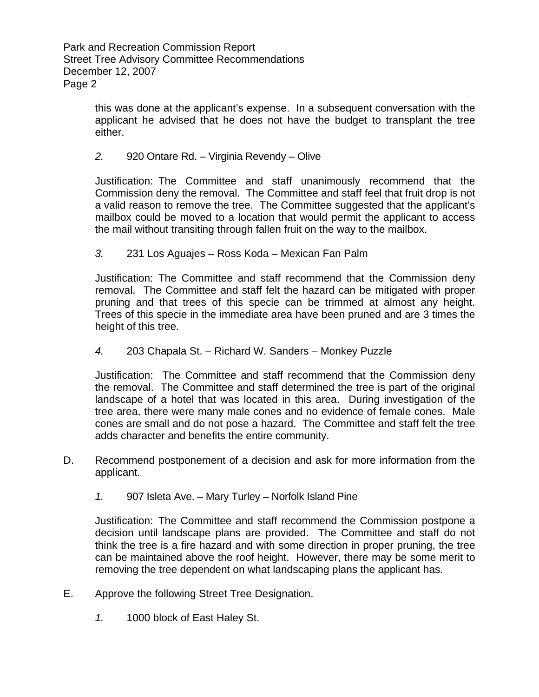Park and Recreation Commission Report Street Tree Advisory Committee Recommendations December 12, 2007 Page 2

> this was done at the applicant's expense. In a subsequent conversation with the applicant he advised that he does not have the budget to transplant the tree either.

## *2.* 920 Ontare Rd. – Virginia Revendy – Olive

Justification: The Committee and staff unanimously recommend that the Commission deny the removal. The Committee and staff feel that fruit drop is not a valid reason to remove the tree. The Committee suggested that the applicant's mailbox could be moved to a location that would permit the applicant to access the mail without transiting through fallen fruit on the way to the mailbox.

*3.* 231 Los Aguajes – Ross Koda – Mexican Fan Palm

Justification: The Committee and staff recommend that the Commission deny removal. The Committee and staff felt the hazard can be mitigated with proper pruning and that trees of this specie can be trimmed at almost any height. Trees of this specie in the immediate area have been pruned and are 3 times the height of this tree.

*4.* 203 Chapala St. – Richard W. Sanders – Monkey Puzzle

Justification: The Committee and staff recommend that the Commission deny the removal. The Committee and staff determined the tree is part of the original landscape of a hotel that was located in this area. During investigation of the tree area, there were many male cones and no evidence of female cones. Male cones are small and do not pose a hazard. The Committee and staff felt the tree adds character and benefits the entire community.

- D. Recommend postponement of a decision and ask for more information from the applicant.
	- *1.* 907 Isleta Ave. Mary Turley Norfolk Island Pine

Justification: The Committee and staff recommend the Commission postpone a decision until landscape plans are provided. The Committee and staff do not think the tree is a fire hazard and with some direction in proper pruning, the tree can be maintained above the roof height. However, there may be some merit to removing the tree dependent on what landscaping plans the applicant has.

- E. Approve the following Street Tree Designation.
	- *1.* 1000 block of East Haley St.